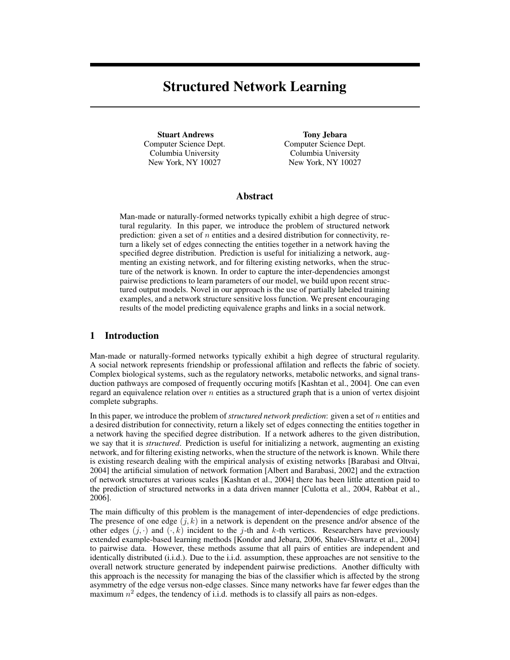# Structured Network Learning

Stuart Andrews Computer Science Dept. Columbia University New York, NY 10027

Tony Jebara Computer Science Dept. Columbia University New York, NY 10027

### Abstract

Man-made or naturally-formed networks typically exhibit a high degree of structural regularity. In this paper, we introduce the problem of structured network prediction: given a set of n entities and a desired distribution for connectivity, return a likely set of edges connecting the entities together in a network having the specified degree distribution. Prediction is useful for initializing a network, augmenting an existing network, and for filtering existing networks, when the structure of the network is known. In order to capture the inter-dependencies amongst pairwise predictions to learn parameters of our model, we build upon recent structured output models. Novel in our approach is the use of partially labeled training examples, and a network structure sensitive loss function. We present encouraging results of the model predicting equivalence graphs and links in a social network.

### 1 Introduction

Man-made or naturally-formed networks typically exhibit a high degree of structural regularity. A social network represents friendship or professional affilation and reflects the fabric of society. Complex biological systems, such as the regulatory networks, metabolic networks, and signal transduction pathways are composed of frequently occuring motifs [Kashtan et al., 2004]. One can even regard an equivalence relation over  $n$  entities as a structured graph that is a union of vertex disjoint complete subgraphs.

In this paper, we introduce the problem of *structured network prediction*: given a set of n entities and a desired distribution for connectivity, return a likely set of edges connecting the entities together in a network having the specified degree distribution. If a network adheres to the given distribution, we say that it is *structured*. Prediction is useful for initializing a network, augmenting an existing network, and for filtering existing networks, when the structure of the network is known. While there is existing research dealing with the empirical analysis of existing networks [Barabasi and Oltvai, 2004] the artificial simulation of network formation [Albert and Barabasi, 2002] and the extraction of network structures at various scales [Kashtan et al., 2004] there has been little attention paid to the prediction of structured networks in a data driven manner [Culotta et al., 2004, Rabbat et al., 2006].

The main difficulty of this problem is the management of inter-dependencies of edge predictions. The presence of one edge  $(j, k)$  in a network is dependent on the presence and/or absence of the other edges  $(j, \cdot)$  and  $(\cdot, k)$  incident to the j-th and k-th vertices. Researchers have previously extended example-based learning methods [Kondor and Jebara, 2006, Shalev-Shwartz et al., 2004] to pairwise data. However, these methods assume that all pairs of entities are independent and identically distributed (i.i.d.). Due to the i.i.d. assumption, these approaches are not sensitive to the overall network structure generated by independent pairwise predictions. Another difficulty with this approach is the necessity for managing the bias of the classifier which is affected by the strong asymmetry of the edge versus non-edge classes. Since many networks have far fewer edges than the maximum  $n^2$  edges, the tendency of i.i.d. methods is to classify all pairs as non-edges.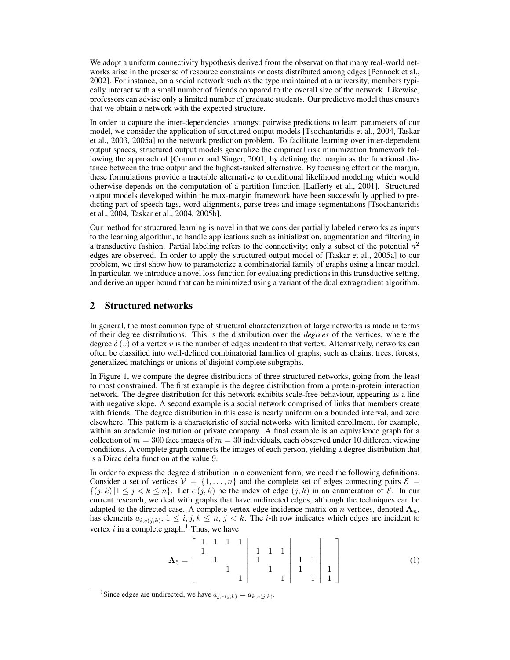We adopt a uniform connectivity hypothesis derived from the observation that many real-world networks arise in the presense of resource constraints or costs distributed among edges [Pennock et al., 2002]. For instance, on a social network such as the type maintained at a university, members typically interact with a small number of friends compared to the overall size of the network. Likewise, professors can advise only a limited number of graduate students. Our predictive model thus ensures that we obtain a network with the expected structure.

In order to capture the inter-dependencies amongst pairwise predictions to learn parameters of our model, we consider the application of structured output models [Tsochantaridis et al., 2004, Taskar et al., 2003, 2005a] to the network prediction problem. To facilitate learning over inter-dependent output spaces, structured output models generalize the empirical risk minimization framework following the approach of [Crammer and Singer, 2001] by defining the margin as the functional distance between the true output and the highest-ranked alternative. By focussing effort on the margin, these formulations provide a tractable alternative to conditional likelihood modeling which would otherwise depends on the computation of a partition function [Lafferty et al., 2001]. Structured output models developed within the max-margin framework have been successfully applied to predicting part-of-speech tags, word-alignments, parse trees and image segmentations [Tsochantaridis et al., 2004, Taskar et al., 2004, 2005b].

Our method for structured learning is novel in that we consider partially labeled networks as inputs to the learning algorithm, to handle applications such as initialization, augmentation and filtering in a transductive fashion. Partial labeling refers to the connectivity; only a subset of the potential  $n^2$ edges are observed. In order to apply the structured output model of [Taskar et al., 2005a] to our problem, we first show how to parameterize a combinatorial family of graphs using a linear model. In particular, we introduce a novel loss function for evaluating predictions in this transductive setting, and derive an upper bound that can be minimized using a variant of the dual extragradient algorithm.

### 2 Structured networks

In general, the most common type of structural characterization of large networks is made in terms of their degree distributions. This is the distribution over the *degrees* of the vertices, where the degree  $\delta(v)$  of a vertex v is the number of edges incident to that vertex. Alternatively, networks can often be classified into well-defined combinatorial families of graphs, such as chains, trees, forests, generalized matchings or unions of disjoint complete subgraphs.

In Figure 1, we compare the degree distributions of three structured networks, going from the least to most constrained. The first example is the degree distribution from a protein-protein interaction network. The degree distribution for this network exhibits scale-free behaviour, appearing as a line with negative slope. A second example is a social network comprised of links that members create with friends. The degree distribution in this case is nearly uniform on a bounded interval, and zero elsewhere. This pattern is a characteristic of social networks with limited enrollment, for example, within an academic institution or private company. A final example is an equivalence graph for a collection of  $m = 300$  face images of  $m = 30$  individuals, each observed under 10 different viewing conditions. A complete graph connects the images of each person, yielding a degree distribution that is a Dirac delta function at the value 9.

In order to express the degree distribution in a convenient form, we need the following definitions. Consider a set of vertices  $V = \{1, \ldots, n\}$  and the complete set of edges connecting pairs  $\mathcal{E} =$  $\{(j,k)|1 \leq j < k \leq n\}$ . Let  $e(j,k)$  be the index of edge  $(j,k)$  in an enumeration of  $\mathcal{E}$ . In our current research, we deal with graphs that have undirected edges, although the techniques can be adapted to the directed case. A complete vertex-edge incidence matrix on n vertices, denoted  $A_n$ , has elements  $a_{i,e(j,k)}$ ,  $1 \leq i, j, k \leq n, j < k$ . The *i*-th row indicates which edges are incident to vertex  $i$  in a complete graph.<sup>1</sup> Thus, we have

$$
\mathbf{A}_5 = \begin{bmatrix} 1 & 1 & 1 & 1 \\ 1 & & & & \\ & 1 & & & \\ & & 1 & & \\ & & & 1 & & \\ & & & & 1 \end{bmatrix} \begin{bmatrix} 1 & 1 & 1 \\ 1 & 1 & 1 \\ 1 & 1 & 1 \\ & & 1 \end{bmatrix} \begin{bmatrix} 1 \\ 1 \\ 1 \\ 1 \end{bmatrix}
$$
 (1)

<sup>&</sup>lt;sup>1</sup>Since edges are undirected, we have  $a_{j,e(j,k)} = a_{k,e(j,k)}$ .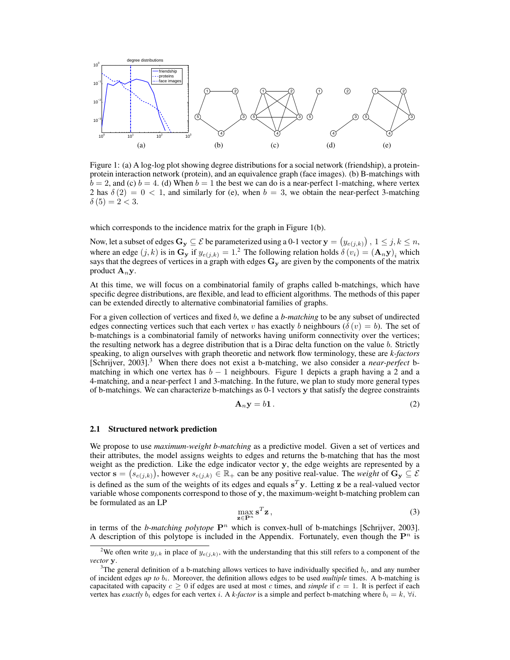

Figure 1: (a) A log-log plot showing degree distributions for a social network (friendship), a proteinprotein interaction network (protein), and an equivalence graph (face images). (b) B-matchings with  $b = 2$ , and (c)  $b = 4$ . (d) When  $b = 1$  the best we can do is a near-perfect 1-matching, where vertex 2 has  $\delta(2) = 0 < 1$ , and similarly for (e), when  $b = 3$ , we obtain the near-perfect 3-matching  $\delta(5) = 2 < 3.$ 

which corresponds to the incidence matrix for the graph in Figure 1(b).

Now, let a subset of edges  $G_y \subseteq \mathcal{E}$  be parameterized using a 0-1 vector  $\mathbf{y} = (y_{e(j,k)})$  ,  $1 \leq j,k \leq n$ , where an edge  $(j, k)$  is in  $\mathbf{G}_y$  if  $y_{e(j,k)} = 1.2$  The following relation holds  $\delta(v_i) = (\mathbf{A}_n \mathbf{y})_i$  which says that the degrees of vertices in a graph with edges  $G_v$  are given by the components of the matrix product  $\mathbf{A}_n \mathbf{v}$ .

At this time, we will focus on a combinatorial family of graphs called b-matchings, which have specific degree distributions, are flexible, and lead to efficient algorithms. The methods of this paper can be extended directly to alternative combinatorial families of graphs.

For a given collection of vertices and fixed b, we define a *b-matching* to be any subset of undirected edges connecting vertices such that each vertex v has exactly b neighbours ( $\delta(v) = b$ ). The set of b-matchings is a combinatorial family of networks having uniform connectivity over the vertices; the resulting network has a degree distribution that is a Dirac delta function on the value b. Strictly speaking, to align ourselves with graph theoretic and network flow terminology, these are *k-factors* [Schrijver, 2003].<sup>3</sup> When there does not exist a b-matching, we also consider a *near-perfect* bmatching in which one vertex has  $b - 1$  neighbours. Figure 1 depicts a graph having a 2 and a 4-matching, and a near-perfect 1 and 3-matching. In the future, we plan to study more general types of b-matchings. We can characterize b-matchings as 0-1 vectors y that satisfy the degree constraints

$$
\mathbf{A}_n \mathbf{y} = b \mathbf{1} \,. \tag{2}
$$

#### 2.1 Structured network prediction

We propose to use *maximum-weight b-matching* as a predictive model. Given a set of vertices and their attributes, the model assigns weights to edges and returns the b-matching that has the most weight as the prediction. Like the edge indicator vector y, the edge weights are represented by a vector  $\mathbf{s} = (s_{e(j,k)})$ , however  $s_{e(j,k)} \in \mathbb{R}_+$  can be any positive real-value. The *weight* of  $\mathbf{G}_y \subseteq \mathcal{E}$ is defined as the sum of the weights of its edges and equals  $s<sup>T</sup>y$ . Letting z be a real-valued vector variable whose components correspond to those of y, the maximum-weight b-matching problem can be formulated as an LP

$$
\max_{\mathbf{z}\in\mathbf{P}^n} \mathbf{s}^T \mathbf{z},\tag{3}
$$

in terms of the *b-matching polytope*  $\mathbf{P}^n$  which is convex-hull of b-matchings [Schrijver, 2003]. A description of this polytope is included in the Appendix. Fortunately, even though the  $\mathbf{P}^n$  is

<sup>&</sup>lt;sup>2</sup>We often write  $y_{j,k}$  in place of  $y_{\epsilon(j,k)}$ , with the understanding that this still refers to a component of the *vector* y.

<sup>&</sup>lt;sup>3</sup>The general definition of a b-matching allows vertices to have individually specified  $b_i$ , and any number of incident edges *up to* bi. Moreover, the definition allows edges to be used *multiple* times. A b-matching is capacitated with capacity  $c \ge 0$  if edges are used at most c times, and *simple* if  $c = 1$ . It is perfect if each vertex has *exactly*  $b_i$  edges for each vertex i. A *k*-factor is a simple and perfect b-matching where  $b_i = k$ ,  $\forall i$ .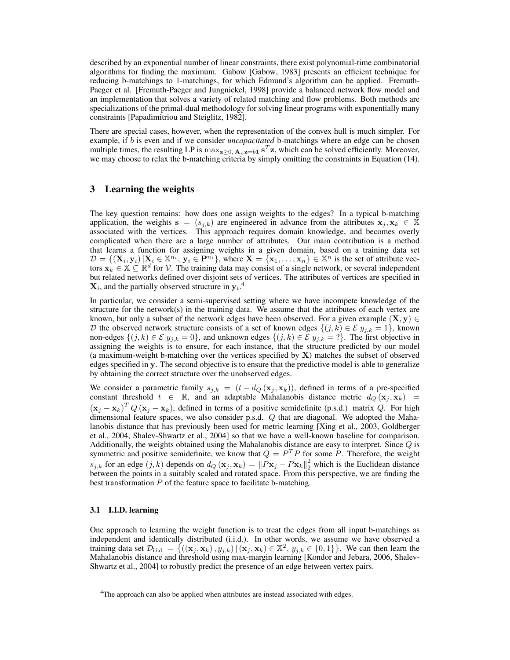described by an exponential number of linear constraints, there exist polynomial-time combinatorial algorithms for finding the maximum. Gabow [Gabow, 1983] presents an efficient technique for reducing b-matchings to 1-matchings, for which Edmund's algorithm can be applied. Fremuth-Paeger et al. [Fremuth-Paeger and Jungnickel, 1998] provide a balanced network flow model and an implementation that solves a variety of related matching and flow problems. Both methods are specializations of the primal-dual methodology for solving linear programs with exponentially many constraints [Papadimitriou and Steiglitz, 1982].

There are special cases, however, when the representation of the convex hull is much simpler. For example, if b is even and if we consider *uncapacitated* b-matchings where an edge can be chosen multiple times, the resulting LP is  $\max_{z\geq 0, A_n z = b1} s^T z$ , which can be solved efficiently. Moreover, we may choose to relax the b-matching criteria by simply omitting the constraints in Equation (14).

## 3 Learning the weights

The key question remains: how does one assign weights to the edges? In a typical b-matching application, the weights  $s = (s_{i,k})$  are engineered in advance from the attributes  $x_i, x_k \in \mathbb{X}$ associated with the vertices. This approach requires domain knowledge, and becomes overly complicated when there are a large number of attributes. Our main contribution is a method that learns a function for assigning weights in a given domain, based on a training data set  $\mathcal{D} = \{ (\mathbf{X}_i, \mathbf{y}_i) | \mathbf{X}_i \in \mathbb{X}^{n_i}, \mathbf{y}_i \in \mathbf{P}^{n_i} \}$ , where  $\mathbf{X} = \{ \mathbf{x}_1, \dots, \mathbf{x}_n \} \in \mathbb{X}^n$  is the set of attribute vectors  $\mathbf{x}_k \in \mathbb{X} \subseteq \mathbb{R}^d$  for  $\mathcal{V}$ . The training data may consist of a single network, or several independent but related networks defined over disjoint sets of vertices. The attributes of vertices are specified in  $\mathbf{X}_i$ , and the partially observed structure in  $\mathbf{y}_i$ .<sup>4</sup>

In particular, we consider a semi-supervised setting where we have incompete knowledge of the structure for the network(s) in the training data. We assume that the attributes of each vertex are known, but only a subset of the network edges have been observed. For a given example  $(X, y) \in$ D the observed network structure consists of a set of known edges  $\{(j,k) \in \mathcal{E} | y_{j,k} = 1\}$ , known non-edges  $\{(j,k) \in \mathcal{E} | y_{j,k} = 0\}$ , and unknown edges  $\{(j,k) \in \mathcal{E} | y_{j,k} = ?\}$ . The first objective in assigning the weights is to ensure, for each instance, that the structure predicted by our model (a maximum-weight b-matching over the vertices specified by X) matches the subset of observed edges specified in y. The second objective is to ensure that the predictive model is able to generalize by obtaining the correct structure over the unobserved edges.

We consider a parametric family  $s_{j,k} = (t - d_Q(\mathbf{x}_j, \mathbf{x}_k))$ , defined in terms of a pre-specified constant threshold  $t \in \mathbb{R}$ , and an adaptable Mahalanobis distance metric  $d_Q(\mathbf{x}_j, \mathbf{x}_k)$  =  $(\mathbf{x}_j - \mathbf{x}_k)^T Q (\mathbf{x}_j - \mathbf{x}_k)$ , defined in terms of a positive semidefinite (p.s.d.) matrix Q. For high dimensional feature spaces, we also consider p.s.d. Q that are diagonal. We adopted the Mahalanobis distance that has previously been used for metric learning [Xing et al., 2003, Goldberger et al., 2004, Shalev-Shwartz et al., 2004] so that we have a well-known baseline for comparison. Additionally, the weights obtained using the Mahalanobis distance are easy to interpret. Since  $Q$  is symmetric and positive semidefinite, we know that  $Q = P<sup>T</sup>P$  for some P. Therefore, the weight  $s_{j,k}$  for an edge  $(j,k)$  depends on  $d_Q(\mathbf{x}_j, \mathbf{x}_k) = ||P\mathbf{x}_j - P\mathbf{x}_k||_2^2$  which is the Euclidean distance between the points in a suitably scaled and rotated space. From this perspective, we are finding the best transformation  $P$  of the feature space to facilitate b-matching.

#### 3.1 I.I.D. learning

One approach to learning the weight function is to treat the edges from all input b-matchings as independent and identically distributed (i.i.d.). In other words, we assume we have observed a training data set  $\mathcal{D}_{i.i.d.} = \{((\mathbf{x}_j, \mathbf{x}_k), y_{j,k}) | (\mathbf{x}_j, \mathbf{x}_k) \in \mathbb{X}^2, y_{j,k} \in \{0,1\}\}\.$  We can then learn the Mahalanobis distance and threshold using max-margin learning [Kondor and Jebara, 2006, Shalev-Shwartz et al., 2004] to robustly predict the presence of an edge between vertex pairs.

<sup>&</sup>lt;sup>4</sup>The approach can also be applied when attributes are instead associated with edges.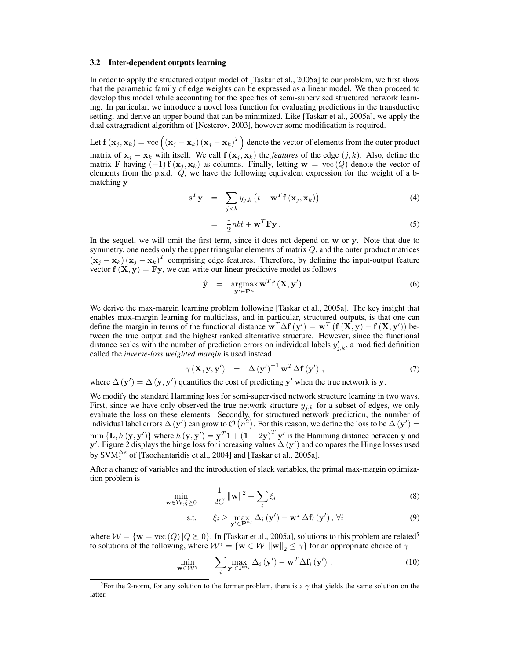#### 3.2 Inter-dependent outputs learning

In order to apply the structured output model of [Taskar et al., 2005a] to our problem, we first show that the parametric family of edge weights can be expressed as a linear model. We then proceed to develop this model while accounting for the specifics of semi-supervised structured network learning. In particular, we introduce a novel loss function for evaluating predictions in the transductive setting, and derive an upper bound that can be minimized. Like [Taskar et al., 2005a], we apply the dual extragradient algorithm of [Nesterov, 2003], however some modification is required.

Let  $\mathbf{f}\left(\mathbf{x}_j,\mathbf{x}_k\right)=\text{vec}\left(\left(\mathbf{x}_j-\mathbf{x}_k\right)\left(\mathbf{x}_j-\mathbf{x}_k\right)^T\right)$  denote the vector of elements from the outer product matrix of  $x_j - x_k$  with itself. We call  $f(x_j, x_k)$  the *features* of the edge  $(j, k)$ . Also, define the matrix F having  $(-1)$  f  $(x_j, x_k)$  as columns. Finally, letting  $w = \text{vec}(Q)$  denote the vector of elements from the p.s.d.  $\ddot{Q}$ , we have the following equivalent expression for the weight of a bmatching y

$$
\mathbf{s}^T \mathbf{y} = \sum_{j < k} y_{j,k} \left( t - \mathbf{w}^T \mathbf{f} \left( \mathbf{x}_j, \mathbf{x}_k \right) \right) \tag{4}
$$

$$
= \frac{1}{2}nbt + \mathbf{w}^T\mathbf{F}\mathbf{y}.
$$
 (5)

In the sequel, we will omit the first term, since it does not depend on w or y. Note that due to symmetry, one needs only the upper triangular elements of matrix  $Q$ , and the outer product matrices  $(\mathbf{x}_j - \mathbf{x}_k) (\mathbf{x}_j - \mathbf{x}_k)^T$  comprising edge features. Therefore, by defining the input-output feature vector  $f(X, y) = Fy$ , we can write our linear predictive model as follows

$$
\hat{\mathbf{y}} = \underset{\mathbf{y}' \in \mathbf{P}^n}{\operatorname{argmax}} \mathbf{w}^T \mathbf{f} \left( \mathbf{X}, \mathbf{y}' \right). \tag{6}
$$

We derive the max-margin learning problem following [Taskar et al., 2005a]. The key insight that enables max-margin learning for multiclass, and in particular, structured outputs, is that one can define the margin in terms of the functional distance  $\mathbf{w}^T \Delta \mathbf{f}(\mathbf{y}') = \mathbf{w}^T (\mathbf{f}(\mathbf{X}, \mathbf{y}) - \mathbf{f}(\mathbf{X}, \mathbf{y}'))$  between the true output and the highest ranked alternative structure. However, since the functional distance scales with the number of prediction errors on individual labels  $y'_{j,k}$ , a modified definition called the *inverse-loss weighted margin* is used instead

$$
\gamma(\mathbf{X}, \mathbf{y}, \mathbf{y}') = \Delta(\mathbf{y}')^{-1} \mathbf{w}^T \Delta \mathbf{f}(\mathbf{y}'), \tag{7}
$$

where  $\Delta(y') = \Delta(y, y')$  quantifies the cost of predicting y' when the true network is y.

We modify the standard Hamming loss for semi-supervised network structure learning in two ways. First, since we have only observed the true network structure  $y_{j,k}$  for a subset of edges, we only evaluate the loss on these elements. Secondly, for structured network prediction, the number of individual label errors  $\Delta(y')$  can grow to  $\mathcal{O}(n^2)$ . For this reason, we define the loss to be  $\Delta(y') =$  $\min{\{\mathbf{L}, h(\mathbf{y}, \mathbf{y}')\}}$  where  $h(\mathbf{y}, \mathbf{y}') = \mathbf{y}^T \mathbf{1} + (1 - 2\mathbf{y})^T \mathbf{y}'$  is the Hamming distance between y and y'. Figure 2 displays the hinge loss for increasing values  $\Delta(y')$  and compares the Hinge losses used by SVM $_1^{\Delta s}$  of [Tsochantaridis et al., 2004] and [Taskar et al., 2005a].

After a change of variables and the introduction of slack variables, the primal max-margin optimization problem is

$$
\min_{\mathbf{w}\in\mathcal{W},\xi\geq0}\qquad\frac{1}{2C}\left\|\mathbf{w}\right\|^{2}+\sum_{i}\xi_{i}\tag{8}
$$

$$
\text{s.t.} \qquad \xi_i \geq \max_{\mathbf{y}' \in \mathbf{P}^{n_i}} \Delta_i(\mathbf{y}') - \mathbf{w}^T \Delta \mathbf{f}_i(\mathbf{y}'), \forall i \tag{9}
$$

where  $W = \{w = \text{vec}(Q) | Q \succeq 0\}$ . In [Taskar et al., 2005a], solutions to this problem are related<sup>5</sup> to solutions of the following, where  $W^{\gamma} = \{w \in W | ||w||_2 \leq \gamma\}$  for an appropriate choice of  $\gamma$ 

$$
\min_{\mathbf{w}\in\mathcal{W}^{\gamma}} \qquad \sum_{i} \max_{\mathbf{y}'\in\mathbf{P}^{n_i}} \Delta_i(\mathbf{y}') - \mathbf{w}^T \Delta \mathbf{f}_i(\mathbf{y}') . \tag{10}
$$

<sup>&</sup>lt;sup>5</sup>For the 2-norm, for any solution to the former problem, there is a  $\gamma$  that yields the same solution on the latter.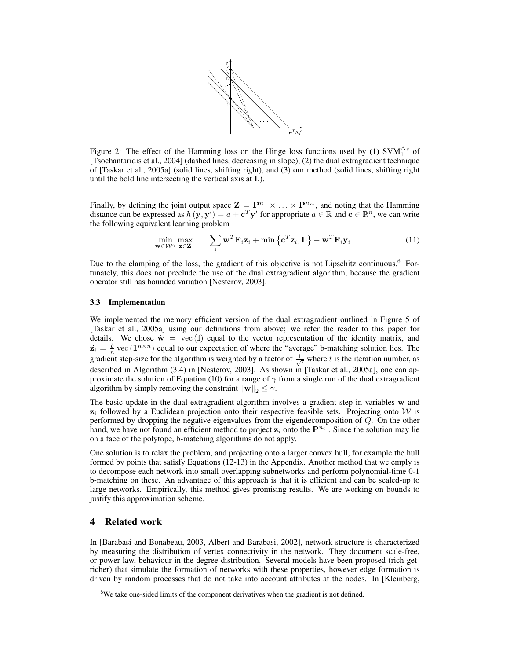

Figure 2: The effect of the Hamming loss on the Hinge loss functions used by (1)  $\text{SVM}_1^{\Delta s}$  of [Tsochantaridis et al., 2004] (dashed lines, decreasing in slope), (2) the dual extragradient technique of [Taskar et al., 2005a] (solid lines, shifting right), and (3) our method (solid lines, shifting right until the bold line intersecting the vertical axis at L).

Finally, by defining the joint output space  $\mathbf{Z} = \mathbf{P}^{n_1} \times \ldots \times \mathbf{P}^{n_m}$ , and noting that the Hamming distance can be expressed as  $h(\mathbf{y}, \mathbf{y}') = a + \mathbf{c}^T \mathbf{y}'$  for appropriate  $a \in \mathbb{R}$  and  $\mathbf{c} \in \mathbb{R}^n$ , we can write the following equivalent learning problem

$$
\min_{\mathbf{w}\in\mathcal{W}^{\gamma}}\max_{\mathbf{z}\in\mathbf{Z}} \qquad \sum_{i}\mathbf{w}^{T}\mathbf{F}_{i}\mathbf{z}_{i} + \min\left\{\mathbf{c}^{T}\mathbf{z}_{i},\mathbf{L}\right\} - \mathbf{w}^{T}\mathbf{F}_{i}\mathbf{y}_{i}.
$$
\n(11)

Due to the clamping of the loss, the gradient of this objective is not Lipschitz continuous.<sup>6</sup> Fortunately, this does not preclude the use of the dual extragradient algorithm, because the gradient operator still has bounded variation [Nesterov, 2003].

#### 3.3 Implementation

We implemented the memory efficient version of the dual extragradient outlined in Figure 5 of [Taskar et al., 2005a] using our definitions from above; we refer the reader to this paper for details. We chose  $\dot{\mathbf{w}} = \text{vec}(\mathbb{I})$  equal to the vector representation of the identity matrix, and  $\dot{\mathbf{z}}_i = \frac{b}{n} \text{vec}(\mathbf{1}^{n \times n})$  equal to our expectation of where the "average" b-matching solution lies. The  $z_i = \frac{1}{n}$  vcc (1) column to our expectation of where the averagradient step-size for the algorithm is weighted by a factor of  $\frac{1}{n}$  $\overline{t}$  where t is the iteration number, as described in Algorithm (3.4) in [Nesterov, 2003]. As shown in [Taskar et al., 2005a], one can approximate the solution of Equation (10) for a range of  $\gamma$  from a single run of the dual extragradient algorithm by simply removing the constraint  $\|\mathbf{w}\|_2 \leq \gamma$ .

The basic update in the dual extragradient algorithm involves a gradient step in variables w and  $z_i$  followed by a Euclidean projection onto their respective feasible sets. Projecting onto W is performed by dropping the negative eigenvalues from the eigendecomposition of  $Q$ . On the other hand, we have not found an efficient method to project  $z_i$  onto the  $P^{n_i}$ . Since the solution may lie on a face of the polytope, b-matching algorithms do not apply.

One solution is to relax the problem, and projecting onto a larger convex hull, for example the hull formed by points that satisfy Equations (12-13) in the Appendix. Another method that we emply is to decompose each network into small overlapping subnetworks and perform polynomial-time 0-1 b-matching on these. An advantage of this approach is that it is efficient and can be scaled-up to large networks. Empirically, this method gives promising results. We are working on bounds to justify this approximation scheme.

# 4 Related work

In [Barabasi and Bonabeau, 2003, Albert and Barabasi, 2002], network structure is characterized by measuring the distribution of vertex connectivity in the network. They document scale-free, or power-law, behaviour in the degree distribution. Several models have been proposed (rich-getricher) that simulate the formation of networks with these properties, however edge formation is driven by random processes that do not take into account attributes at the nodes. In [Kleinberg,

 $6$ We take one-sided limits of the component derivatives when the gradient is not defined.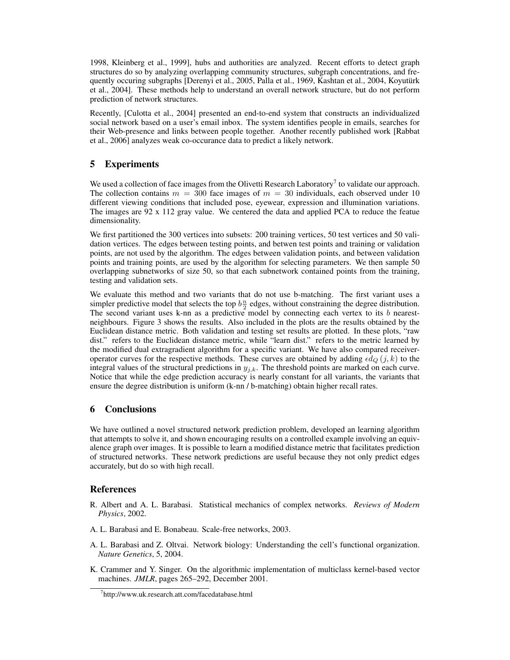1998, Kleinberg et al., 1999], hubs and authorities are analyzed. Recent efforts to detect graph structures do so by analyzing overlapping community structures, subgraph concentrations, and frequently occuring subgraphs [Derenyi et al., 2005, Palla et al., 1969, Kashtan et al., 2004, Koyutürk et al., 2004]. These methods help to understand an overall network structure, but do not perform prediction of network structures.

Recently, [Culotta et al., 2004] presented an end-to-end system that constructs an individualized social network based on a user's email inbox. The system identifies people in emails, searches for their Web-presence and links between people together. Another recently published work [Rabbat et al., 2006] analyzes weak co-occurance data to predict a likely network.

# 5 Experiments

We used a collection of face images from the Olivetti Research Laboratory<sup>7</sup> to validate our approach. The collection contains  $m = 300$  face images of  $m = 30$  individuals, each observed under 10 different viewing conditions that included pose, eyewear, expression and illumination variations. The images are 92 x 112 gray value. We centered the data and applied PCA to reduce the featue dimensionality.

We first partitioned the 300 vertices into subsets: 200 training vertices, 50 test vertices and 50 validation vertices. The edges between testing points, and betwen test points and training or validation points, are not used by the algorithm. The edges between validation points, and between validation points and training points, are used by the algorithm for selecting parameters. We then sample 50 overlapping subnetworks of size 50, so that each subnetwork contained points from the training, testing and validation sets.

We evaluate this method and two variants that do not use b-matching. The first variant uses a simpler predictive model that selects the top  $b\frac{n}{2}$  edges, without constraining the degree distribution. The second variant uses k-nn as a predictive model by connecting each vertex to its  $b$  nearestneighbours. Figure 3 shows the results. Also included in the plots are the results obtained by the Euclidean distance metric. Both validation and testing set results are plotted. In these plots, "raw dist." refers to the Euclidean distance metric, while "learn dist." refers to the metric learned by the modified dual extragradient algorithm for a specific variant. We have also compared receiveroperator curves for the respective methods. These curves are obtained by adding  $\epsilon d_Q (j, k)$  to the integral values of the structural predictions in  $y_{j,k}$ . The threshold points are marked on each curve. Notice that while the edge prediction accuracy is nearly constant for all variants, the variants that ensure the degree distribution is uniform (k-nn / b-matching) obtain higher recall rates.

# 6 Conclusions

We have outlined a novel structured network prediction problem, developed an learning algorithm that attempts to solve it, and shown encouraging results on a controlled example involving an equivalence graph over images. It is possible to learn a modified distance metric that facilitates prediction of structured networks. These network predictions are useful because they not only predict edges accurately, but do so with high recall.

# References

- R. Albert and A. L. Barabasi. Statistical mechanics of complex networks. *Reviews of Modern Physics*, 2002.
- A. L. Barabasi and E. Bonabeau. Scale-free networks, 2003.
- A. L. Barabasi and Z. Oltvai. Network biology: Understanding the cell's functional organization. *Nature Genetics*, 5, 2004.
- K. Crammer and Y. Singer. On the algorithmic implementation of multiclass kernel-based vector machines. *JMLR*, pages 265–292, December 2001.

<sup>7</sup> http://www.uk.research.att.com/facedatabase.html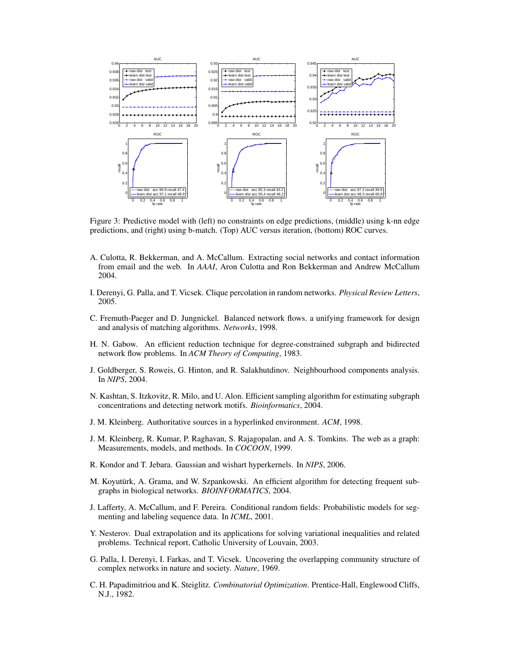

Figure 3: Predictive model with (left) no constraints on edge predictions, (middle) using k-nn edge predictions, and (right) using b-match. (Top) AUC versus iteration, (bottom) ROC curves.

- A. Culotta, R. Bekkerman, and A. McCallum. Extracting social networks and contact information from email and the web. In *AAAI*, Aron Culotta and Ron Bekkerman and Andrew McCallum 2004.
- I. Derenyi, G. Palla, and T. Vicsek. Clique percolation in random networks. *Physical Review Letters*, 2005.
- C. Fremuth-Paeger and D. Jungnickel. Balanced network flows. a unifying framework for design and analysis of matching algorithms. *Networks*, 1998.
- H. N. Gabow. An efficient reduction technique for degree-constrained subgraph and bidirected network flow problems. In *ACM Theory of Computing*, 1983.
- J. Goldberger, S. Roweis, G. Hinton, and R. Salakhutdinov. Neighbourhood components analysis. In *NIPS*, 2004.
- N. Kashtan, S. Itzkovitz, R. Milo, and U. Alon. Efficient sampling algorithm for estimating subgraph concentrations and detecting network motifs. *Bioinformatics*, 2004.
- J. M. Kleinberg. Authoritative sources in a hyperlinked environment. *ACM*, 1998.
- J. M. Kleinberg, R. Kumar, P. Raghavan, S. Rajagopalan, and A. S. Tomkins. The web as a graph: Measurements, models, and methods. In *COCOON*, 1999.
- R. Kondor and T. Jebara. Gaussian and wishart hyperkernels. In *NIPS*, 2006.
- M. Koyutürk, A. Grama, and W. Szpankowski. An efficient algorithm for detecting frequent subgraphs in biological networks. *BIOINFORMATICS*, 2004.
- J. Lafferty, A. McCallum, and F. Pereira. Conditional random fields: Probabilistic models for segmenting and labeling sequence data. In *ICML*, 2001.
- Y. Nesterov. Dual extrapolation and its applications for solving variational inequalities and related problems. Technical report, Catholic University of Louvain, 2003.
- G. Palla, I. Derenyi, I. Farkas, and T. Vicsek. Uncovering the overlapping community structure of complex networks in nature and society. *Nature*, 1969.
- C. H. Papadimitriou and K. Steiglitz. *Combinatorial Optimization*. Prentice-Hall, Englewood Cliffs, N.J., 1982.